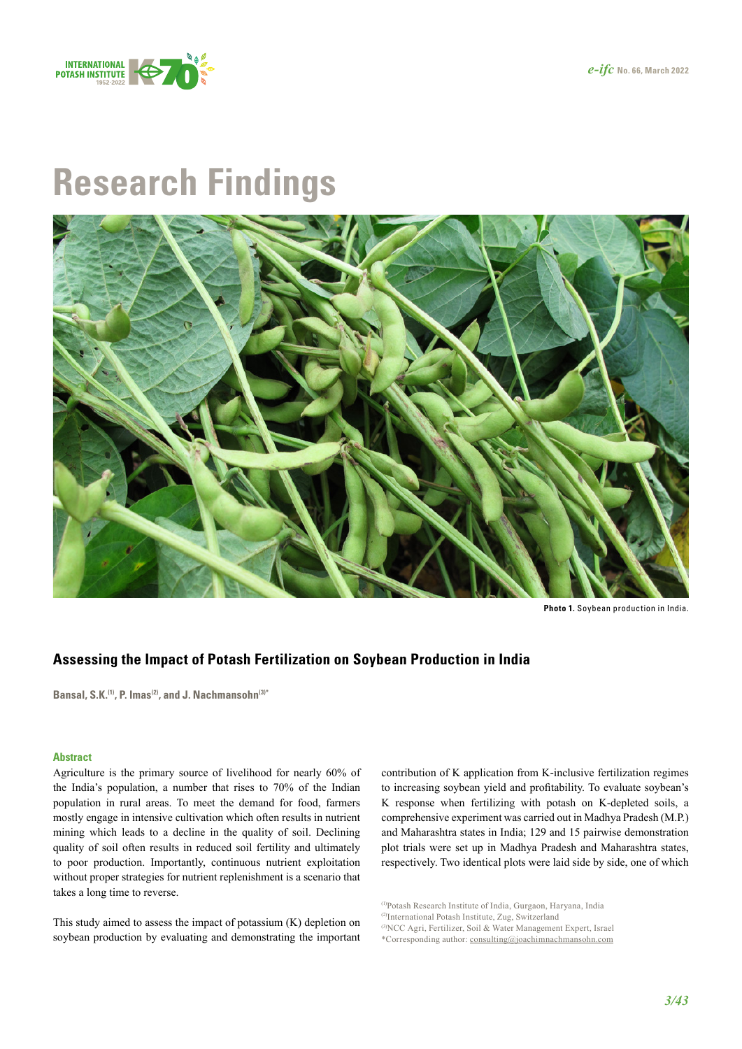*e-ifc* **No. 66, March 2022**



# **Research Findings**



**Photo 1.** Soybean production in India.

## **Assessing the Impact of Potash Fertilization on Soybean Production in India**

Bansal, S.K.<sup>(1)</sup>, P. Imas<sup>(2)</sup>, and J. Nachmansohn<sup>(3)\*</sup>

#### **Abstract**

Agriculture is the primary source of livelihood for nearly 60% of the India's population, a number that rises to 70% of the Indian population in rural areas. To meet the demand for food, farmers mostly engage in intensive cultivation which often results in nutrient mining which leads to a decline in the quality of soil. Declining quality of soil often results in reduced soil fertility and ultimately to poor production. Importantly, continuous nutrient exploitation without proper strategies for nutrient replenishment is a scenario that takes a long time to reverse.

This study aimed to assess the impact of potassium (K) depletion on soybean production by evaluating and demonstrating the important contribution of K application from K-inclusive fertilization regimes to increasing soybean yield and profitability. To evaluate soybean's K response when fertilizing with potash on K-depleted soils, a comprehensive experiment was carried out in Madhya Pradesh (M.P.) and Maharashtra states in India; 129 and 15 pairwise demonstration plot trials were set up in Madhya Pradesh and Maharashtra states, respectively. Two identical plots were laid side by side, one of which

(1)Potash Research Institute of India, Gurgaon, Haryana, India (2)International Potash Institute, Zug, Switzerland

(3)NCC Agri, Fertilizer, Soil & Water Management Expert, Israel

\*Corresponding author: [consulting@joachimnachmansohn.com](mailto:consulting%40joachimnachmansohn.com?subject=)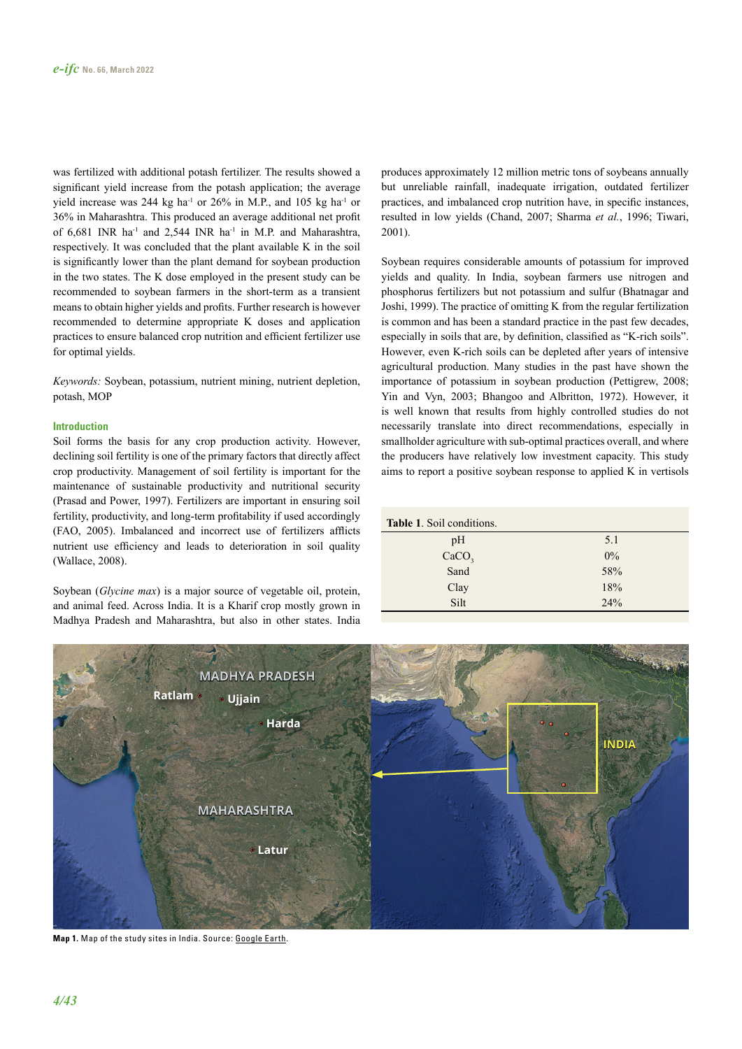was fertilized with additional potash fertilizer. The results showed a significant yield increase from the potash application; the average yield increase was 244 kg ha<sup>-1</sup> or 26% in M.P., and 105 kg ha<sup>-1</sup> or 36% in Maharashtra. This produced an average additional net profit of 6,681 INR ha<sup>-1</sup> and 2,544 INR ha<sup>-1</sup> in M.P. and Maharashtra, respectively. It was concluded that the plant available K in the soil is significantly lower than the plant demand for soybean production in the two states. The K dose employed in the present study can be recommended to soybean farmers in the short-term as a transient means to obtain higher yields and profits. Further research is however recommended to determine appropriate K doses and application practices to ensure balanced crop nutrition and efficient fertilizer use for optimal yields.

*Keywords:* Soybean, potassium, nutrient mining, nutrient depletion, potash, MOP

#### **Introduction**

Soil forms the basis for any crop production activity. However, declining soil fertility is one of the primary factors that directly affect crop productivity. Management of soil fertility is important for the maintenance of sustainable productivity and nutritional security (Prasad and Power, 1997). Fertilizers are important in ensuring soil fertility, productivity, and long-term profitability if used accordingly (FAO, 2005). Imbalanced and incorrect use of fertilizers afflicts nutrient use efficiency and leads to deterioration in soil quality (Wallace, 2008).

Soybean (*Glycine max*) is a major source of vegetable oil, protein, and animal feed. Across India. It is a Kharif crop mostly grown in Madhya Pradesh and Maharashtra, but also in other states. India produces approximately 12 million metric tons of soybeans annually but unreliable rainfall, inadequate irrigation, outdated fertilizer practices, and imbalanced crop nutrition have, in specific instances, resulted in low yields (Chand, 2007; Sharma *et al.*, 1996; Tiwari, 2001).

Soybean requires considerable amounts of potassium for improved yields and quality. In India, soybean farmers use nitrogen and phosphorus fertilizers but not potassium and sulfur (Bhatnagar and Joshi, 1999). The practice of omitting K from the regular fertilization is common and has been a standard practice in the past few decades, especially in soils that are, by definition, classified as "K-rich soils". However, even K-rich soils can be depleted after years of intensive agricultural production. Many studies in the past have shown the importance of potassium in soybean production (Pettigrew, 2008; Yin and Vyn, 2003; Bhangoo and Albritton, 1972). However, it is well known that results from highly controlled studies do not necessarily translate into direct recommendations, especially in smallholder agriculture with sub-optimal practices overall, and where the producers have relatively low investment capacity. This study aims to report a positive soybean response to applied K in vertisols

| Table 1. Soil conditions. |       |  |  |  |  |
|---------------------------|-------|--|--|--|--|
| pH                        | 5.1   |  |  |  |  |
| CaCO <sub>3</sub>         | $0\%$ |  |  |  |  |
| Sand                      | 58%   |  |  |  |  |
| Clay                      | 18%   |  |  |  |  |
| Silt                      | 24%   |  |  |  |  |



**Map 1.** Map of the study sites in India. Source: [Google Earth.](https://www.google.co.uk/maps/place/Ujjain,+Madhya+Pradesh,+India/@23.1729973,75.748242,12.42z/data=!4m13!1m7!3m6!1s0x39637469de00ff23:0x7f82abdf7899d412!2sUjjain,+Madhya+Pradesh,+India!3b1!8m2!3d23.1764665!4d75.7885163!3m4!1s0x39637469de00ff23:0x7f82abdf7899d412!8m2!3d23.1764665!4d75.7885163)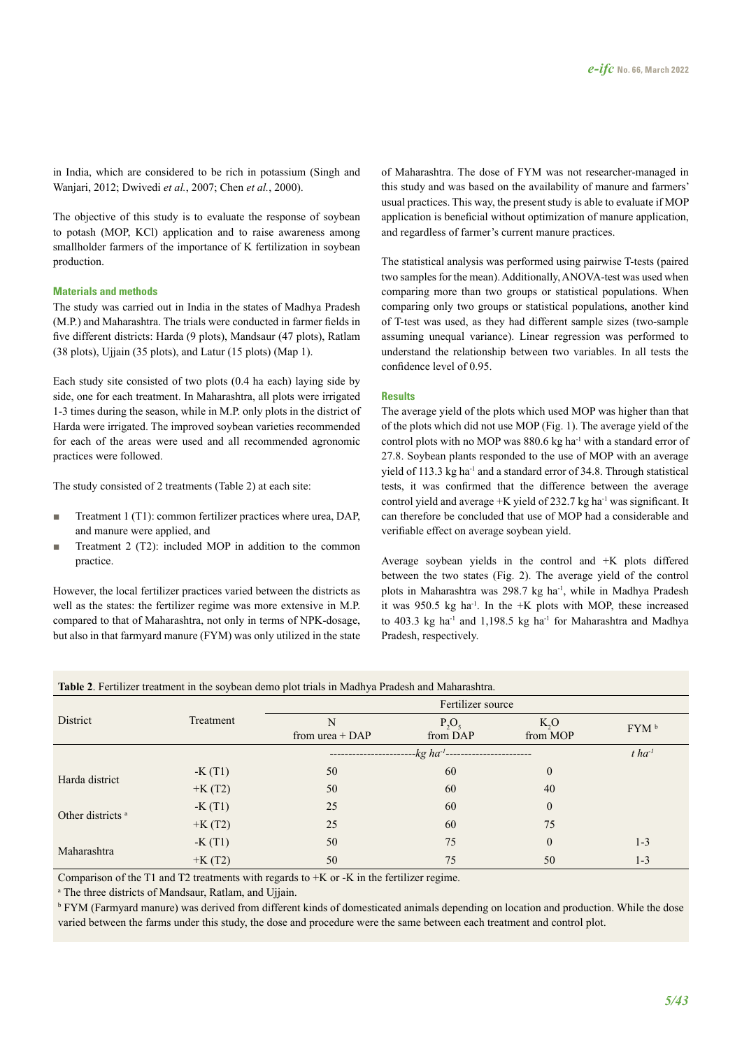in India, which are considered to be rich in potassium (Singh and Wanjari, 2012; Dwivedi *et al.*, 2007; Chen *et al.*, 2000).

The objective of this study is to evaluate the response of soybean to potash (MOP, KCl) application and to raise awareness among smallholder farmers of the importance of K fertilization in soybean production.

#### **Materials and methods**

The study was carried out in India in the states of Madhya Pradesh (M.P.) and Maharashtra. The trials were conducted in farmer fields in five different districts: Harda (9 plots), Mandsaur (47 plots), Ratlam (38 plots), Ujjain (35 plots), and Latur (15 plots) (Map 1).

Each study site consisted of two plots (0.4 ha each) laying side by side, one for each treatment. In Maharashtra, all plots were irrigated 1-3 times during the season, while in M.P. only plots in the district of Harda were irrigated. The improved soybean varieties recommended for each of the areas were used and all recommended agronomic practices were followed.

The study consisted of 2 treatments (Table 2) at each site:

- Treatment 1 (T1): common fertilizer practices where urea, DAP, and manure were applied, and
- Treatment 2 (T2): included MOP in addition to the common practice.

However, the local fertilizer practices varied between the districts as well as the states: the fertilizer regime was more extensive in M.P. compared to that of Maharashtra, not only in terms of NPK-dosage, but also in that farmyard manure (FYM) was only utilized in the state of Maharashtra. The dose of FYM was not researcher-managed in this study and was based on the availability of manure and farmers' usual practices. This way, the present study is able to evaluate if MOP application is beneficial without optimization of manure application, and regardless of farmer's current manure practices.

The statistical analysis was performed using pairwise T-tests (paired two samples for the mean). Additionally, ANOVA-test was used when comparing more than two groups or statistical populations. When comparing only two groups or statistical populations, another kind of T-test was used, as they had different sample sizes (two-sample assuming unequal variance). Linear regression was performed to understand the relationship between two variables. In all tests the confidence level of 0.95.

#### **Results**

The average yield of the plots which used MOP was higher than that of the plots which did not use MOP (Fig. 1). The average yield of the control plots with no MOP was 880.6 kg ha<sup>-1</sup> with a standard error of 27.8. Soybean plants responded to the use of MOP with an average yield of 113.3 kg ha<sup>-1</sup> and a standard error of 34.8. Through statistical tests, it was confirmed that the difference between the average control yield and average +K yield of 232.7 kg ha<sup>-1</sup> was significant. It can therefore be concluded that use of MOP had a considerable and verifiable effect on average soybean yield.

Average soybean yields in the control and +K plots differed between the two states (Fig. 2). The average yield of the control plots in Maharashtra was 298.7 kg ha<sup>-1</sup>, while in Madhya Pradesh it was 950.5 kg ha-1. In the +K plots with MOP, these increased to 403.3 kg ha<sup>-1</sup> and 1,198.5 kg ha<sup>-1</sup> for Maharashtra and Madhya Pradesh, respectively.

| <b>Table 2.</b> I critizer treatment in the soybean defile plot that's in ividuiya I fadesh and ividitatashtra. |           |                                               |                      |                              |                      |  |  |
|-----------------------------------------------------------------------------------------------------------------|-----------|-----------------------------------------------|----------------------|------------------------------|----------------------|--|--|
|                                                                                                                 |           | Fertilizer source                             |                      |                              |                      |  |  |
| District                                                                                                        | Treatment | N<br>from $urea + DAP$                        | $P_2O_5$<br>from DAP | K <sub>2</sub> O<br>from MOP | FYM <sup>b</sup>     |  |  |
|                                                                                                                 |           | -kg ha <sup>-1</sup> ------------------------ |                      |                              | $t$ ha <sup>-1</sup> |  |  |
| Harda district                                                                                                  | $-K(T1)$  | 50                                            | 60                   | $\theta$                     |                      |  |  |
|                                                                                                                 | $+K(T2)$  | 50                                            | 60                   | 40                           |                      |  |  |
| Other districts <sup>a</sup>                                                                                    | $-K(T1)$  | 25                                            | 60                   | $\theta$                     |                      |  |  |
|                                                                                                                 | $+K(T2)$  | 25                                            | 60                   | 75                           |                      |  |  |
| Maharashtra                                                                                                     | $-K(T1)$  | 50                                            | 75                   | $\mathbf{0}$                 | $1 - 3$              |  |  |
|                                                                                                                 | $+K(T2)$  | 50                                            | 75                   | 50                           | $1 - 3$              |  |  |

**Table 2**. Fertilizer treatment in the soybean demo plot trials in Madhya Pradesh and Maharashtra.

Comparison of the T1 and T2 treatments with regards to +K or -K in the fertilizer regime.

a The three districts of Mandsaur, Ratlam, and Ujjain.

<sup>b</sup> FYM (Farmyard manure) was derived from different kinds of domesticated animals depending on location and production. While the dose varied between the farms under this study, the dose and procedure were the same between each treatment and control plot.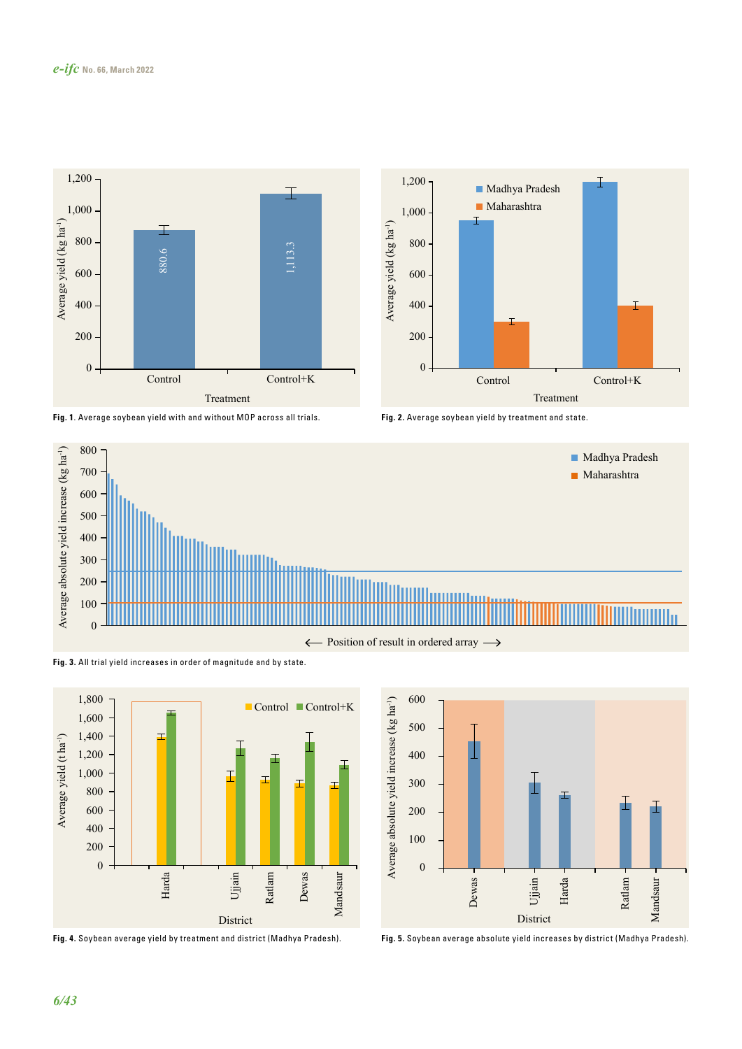





**Fig. 2.** Average soybean yield by treatment and state.



**Fig. 3.** All trial yield increases in order of magnitude and by state.



**Fig. 4.** Soybean average yield by treatment and district (Madhya Pradesh).



**Fig. 5.** Soybean average absolute yield increases by district (Madhya Pradesh).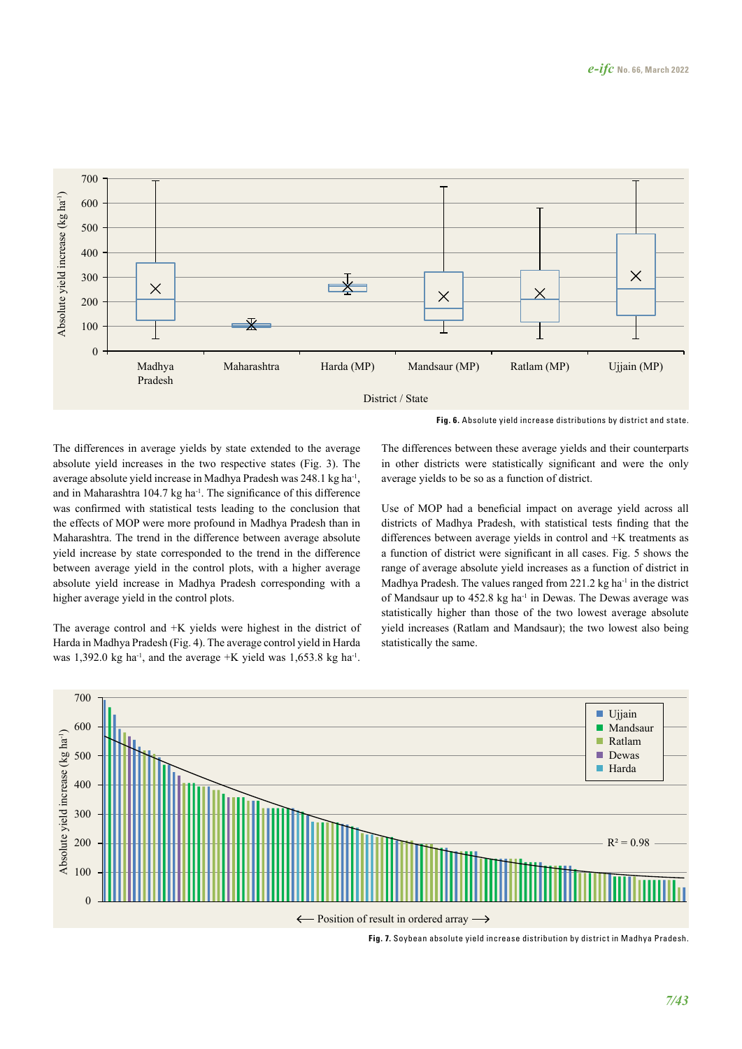

**Fig. 6.** Absolute yield increase distributions by district and state.

The differences in average yields by state extended to the average absolute yield increases in the two respective states (Fig. 3). The average absolute yield increase in Madhya Pradesh was 248.1 kg ha-1, and in Maharashtra 104.7 kg ha-1. The significance of this difference was confirmed with statistical tests leading to the conclusion that the effects of MOP were more profound in Madhya Pradesh than in Maharashtra. The trend in the difference between average absolute yield increase by state corresponded to the trend in the difference between average yield in the control plots, with a higher average absolute yield increase in Madhya Pradesh corresponding with a higher average yield in the control plots.

The average control and +K yields were highest in the district of Harda in Madhya Pradesh (Fig. 4). The average control yield in Harda was 1,392.0 kg ha<sup>-1</sup>, and the average  $+K$  yield was 1,653.8 kg ha<sup>-1</sup>.

The differences between these average yields and their counterparts in other districts were statistically significant and were the only average yields to be so as a function of district.

Use of MOP had a beneficial impact on average yield across all districts of Madhya Pradesh, with statistical tests finding that the differences between average yields in control and +K treatments as a function of district were significant in all cases. Fig. 5 shows the range of average absolute yield increases as a function of district in Madhya Pradesh. The values ranged from 221.2 kg ha<sup>-1</sup> in the district of Mandsaur up to 452.8 kg ha-1 in Dewas. The Dewas average was statistically higher than those of the two lowest average absolute yield increases (Ratlam and Mandsaur); the two lowest also being statistically the same.



**Fig. 7.** Soybean absolute yield increase distribution by district in Madhya Pradesh.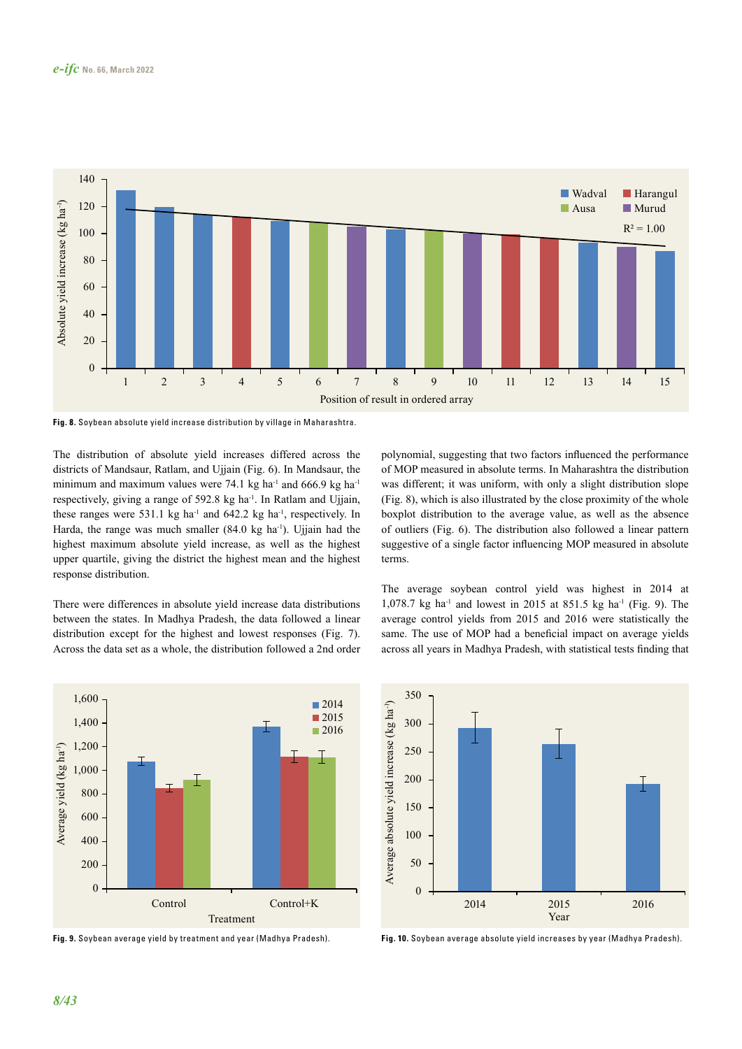

**Fig. 8.** Soybean absolute yield increase distribution by village in Maharashtra.

The distribution of absolute yield increases differed across the districts of Mandsaur, Ratlam, and Ujjain (Fig. 6). In Mandsaur, the minimum and maximum values were 74.1 kg ha<sup>-1</sup> and 666.9 kg ha<sup>-1</sup> respectively, giving a range of 592.8 kg ha<sup>-1</sup>. In Ratlam and Ujjain, these ranges were 531.1 kg ha<sup>-1</sup> and 642.2 kg ha<sup>-1</sup>, respectively. In Harda, the range was much smaller (84.0 kg ha<sup>-1</sup>). Ujjain had the highest maximum absolute yield increase, as well as the highest upper quartile, giving the district the highest mean and the highest response distribution.

There were differences in absolute yield increase data distributions between the states. In Madhya Pradesh, the data followed a linear distribution except for the highest and lowest responses (Fig. 7). Across the data set as a whole, the distribution followed a 2nd order polynomial, suggesting that two factors influenced the performance of MOP measured in absolute terms. In Maharashtra the distribution was different; it was uniform, with only a slight distribution slope (Fig. 8), which is also illustrated by the close proximity of the whole boxplot distribution to the average value, as well as the absence of outliers (Fig. 6). The distribution also followed a linear pattern suggestive of a single factor influencing MOP measured in absolute terms.

The average soybean control yield was highest in 2014 at 1,078.7 kg ha<sup>-1</sup> and lowest in 2015 at 851.5 kg ha<sup>-1</sup> (Fig. 9). The average control yields from 2015 and 2016 were statistically the same. The use of MOP had a beneficial impact on average yields across all years in Madhya Pradesh, with statistical tests finding that





**Fig. 9.** Soybean average yield by treatment and year (Madhya Pradesh). **Fig. 10.** Soybean average absolute yield increases by year (Madhya Pradesh).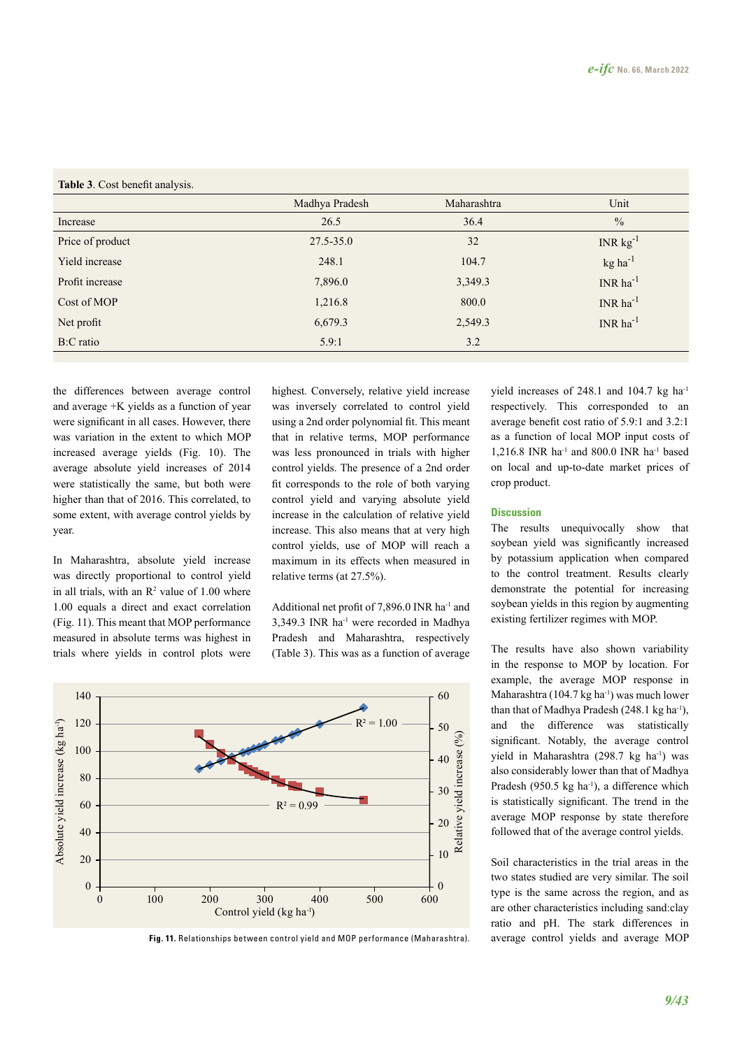### **Table 3**. Cost benefit analysis.

|                  | Madhya Pradesh | Maharashtra | Unit                   |
|------------------|----------------|-------------|------------------------|
| Increase         | 26.5           | 36.4        | $\frac{0}{0}$          |
| Price of product | $27.5 - 35.0$  | 32          | $INR$ $kg^{-1}$        |
| Yield increase   | 248.1          | 104.7       | $kg$ ha <sup>-1</sup>  |
| Profit increase  | 7,896.0        | 3,349.3     | INR $ha^{-1}$          |
| Cost of MOP      | 1,216.8        | 800.0       | $INR$ ha <sup>-1</sup> |
| Net profit       | 6,679.3        | 2,549.3     | $INR$ ha <sup>-1</sup> |
| B:C ratio        | 5.9:1          | 3.2         |                        |
|                  |                |             |                        |

the differences between average control and average +K yields as a function of year were significant in all cases. However, there was variation in the extent to which MOP increased average yields (Fig. 10). The average absolute yield increases of 2014 were statistically the same, but both were higher than that of 2016. This correlated, to some extent, with average control yields by year.

In Maharashtra, absolute yield increase was directly proportional to control yield in all trials, with an  $\mathbb{R}^2$  value of 1.00 where 1.00 equals a direct and exact correlation (Fig. 11). This meant that MOP performance measured in absolute terms was highest in trials where yields in control plots were

highest. Conversely, relative yield increase was inversely correlated to control yield using a 2nd order polynomial fit. This meant that in relative terms, MOP performance was less pronounced in trials with higher control yields. The presence of a 2nd order fit corresponds to the role of both varying control yield and varying absolute yield increase in the calculation of relative yield increase. This also means that at very high control yields, use of MOP will reach a maximum in its effects when measured in relative terms (at 27.5%).

Additional net profit of 7,896.0 INR ha-1 and 3,349.3 INR ha-1 were recorded in Madhya Pradesh and Maharashtra, respectively (Table 3). This was as a function of average



**Fig. 11.** Relationships between control yield and MOP performance (Maharashtra). average control yields and average MOP

yield increases of 248.1 and 104.7 kg ha<sup>-1</sup> respectively. This corresponded to an average benefit cost ratio of 5.9:1 and 3.2:1 as a function of local MOP input costs of 1,216.8 INR ha-1 and 800.0 INR ha-1 based on local and up-to-date market prices of crop product.

#### **Discussion**

The results unequivocally show that soybean yield was significantly increased by potassium application when compared to the control treatment. Results clearly demonstrate the potential for increasing soybean yields in this region by augmenting existing fertilizer regimes with MOP.

The results have also shown variability in the response to MOP by location. For example, the average MOP response in Maharashtra (104.7 kg ha $^{-1}$ ) was much lower than that of Madhya Pradesh  $(248.1 \text{ kg} \text{ ha}^{-1})$ , and the difference was statistically significant. Notably, the average control yield in Maharashtra (298.7 kg ha<sup>-1</sup>) was also considerably lower than that of Madhya Pradesh (950.5 kg ha $^{-1}$ ), a difference which is statistically significant. The trend in the average MOP response by state therefore followed that of the average control yields.

Soil characteristics in the trial areas in the two states studied are very similar. The soil type is the same across the region, and as are other characteristics including sand:clay ratio and pH. The stark differences in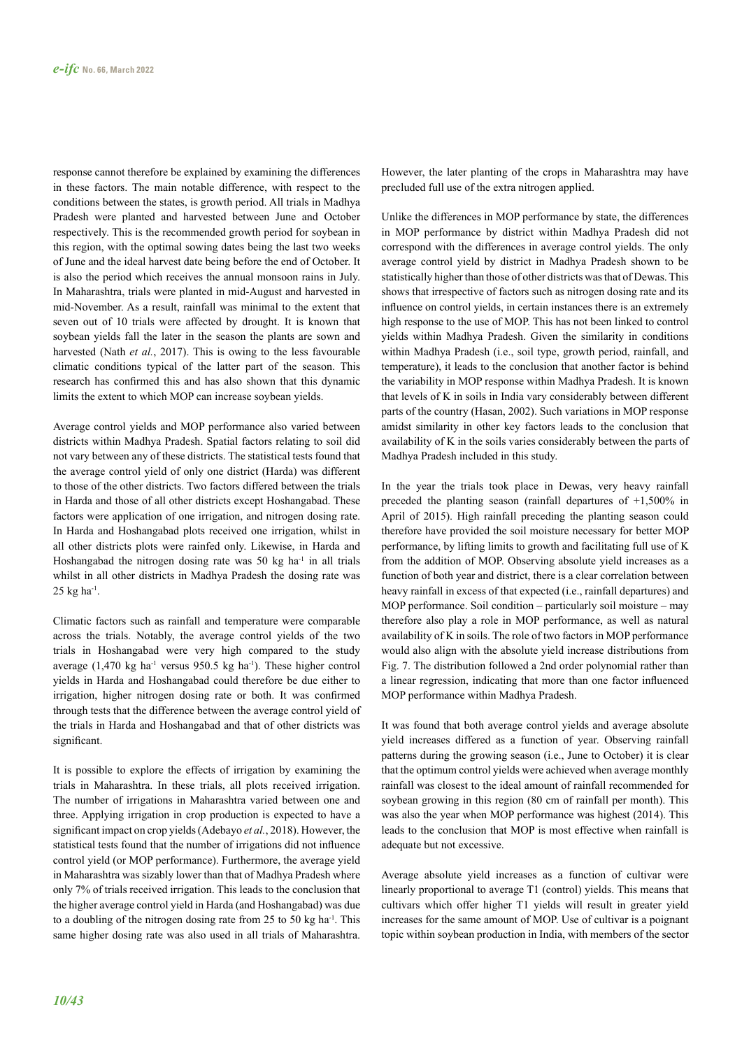response cannot therefore be explained by examining the differences in these factors. The main notable difference, with respect to the conditions between the states, is growth period. All trials in Madhya Pradesh were planted and harvested between June and October respectively. This is the recommended growth period for soybean in this region, with the optimal sowing dates being the last two weeks of June and the ideal harvest date being before the end of October. It is also the period which receives the annual monsoon rains in July. In Maharashtra, trials were planted in mid-August and harvested in mid-November. As a result, rainfall was minimal to the extent that seven out of 10 trials were affected by drought. It is known that soybean yields fall the later in the season the plants are sown and harvested (Nath *et al.*, 2017). This is owing to the less favourable climatic conditions typical of the latter part of the season. This research has confirmed this and has also shown that this dynamic limits the extent to which MOP can increase soybean yields.

Average control yields and MOP performance also varied between districts within Madhya Pradesh. Spatial factors relating to soil did not vary between any of these districts. The statistical tests found that the average control yield of only one district (Harda) was different to those of the other districts. Two factors differed between the trials in Harda and those of all other districts except Hoshangabad. These factors were application of one irrigation, and nitrogen dosing rate. In Harda and Hoshangabad plots received one irrigation, whilst in all other districts plots were rainfed only. Likewise, in Harda and Hoshangabad the nitrogen dosing rate was  $50 \text{ kg}$  ha<sup>-1</sup> in all trials whilst in all other districts in Madhya Pradesh the dosing rate was 25 kg ha-1.

Climatic factors such as rainfall and temperature were comparable across the trials. Notably, the average control yields of the two trials in Hoshangabad were very high compared to the study average  $(1,470 \text{ kg} \text{ ha}^{-1} \text{ versus } 950.5 \text{ kg} \text{ ha}^{-1})$ . These higher control yields in Harda and Hoshangabad could therefore be due either to irrigation, higher nitrogen dosing rate or both. It was confirmed through tests that the difference between the average control yield of the trials in Harda and Hoshangabad and that of other districts was significant.

It is possible to explore the effects of irrigation by examining the trials in Maharashtra. In these trials, all plots received irrigation. The number of irrigations in Maharashtra varied between one and three. Applying irrigation in crop production is expected to have a significant impact on crop yields (Adebayo *et al.*, 2018). However, the statistical tests found that the number of irrigations did not influence control yield (or MOP performance). Furthermore, the average yield in Maharashtra was sizably lower than that of Madhya Pradesh where only 7% of trials received irrigation. This leads to the conclusion that the higher average control yield in Harda (and Hoshangabad) was due to a doubling of the nitrogen dosing rate from 25 to 50 kg ha<sup>-1</sup>. This same higher dosing rate was also used in all trials of Maharashtra.

However, the later planting of the crops in Maharashtra may have precluded full use of the extra nitrogen applied.

Unlike the differences in MOP performance by state, the differences in MOP performance by district within Madhya Pradesh did not correspond with the differences in average control yields. The only average control yield by district in Madhya Pradesh shown to be statistically higher than those of other districts was that of Dewas. This shows that irrespective of factors such as nitrogen dosing rate and its influence on control yields, in certain instances there is an extremely high response to the use of MOP. This has not been linked to control yields within Madhya Pradesh. Given the similarity in conditions within Madhya Pradesh (i.e., soil type, growth period, rainfall, and temperature), it leads to the conclusion that another factor is behind the variability in MOP response within Madhya Pradesh. It is known that levels of K in soils in India vary considerably between different parts of the country (Hasan, 2002). Such variations in MOP response amidst similarity in other key factors leads to the conclusion that availability of K in the soils varies considerably between the parts of Madhya Pradesh included in this study.

In the year the trials took place in Dewas, very heavy rainfall preceded the planting season (rainfall departures of +1,500% in April of 2015). High rainfall preceding the planting season could therefore have provided the soil moisture necessary for better MOP performance, by lifting limits to growth and facilitating full use of K from the addition of MOP. Observing absolute yield increases as a function of both year and district, there is a clear correlation between heavy rainfall in excess of that expected (i.e., rainfall departures) and MOP performance. Soil condition – particularly soil moisture – may therefore also play a role in MOP performance, as well as natural availability of K in soils. The role of two factors in MOP performance would also align with the absolute yield increase distributions from Fig. 7. The distribution followed a 2nd order polynomial rather than a linear regression, indicating that more than one factor influenced MOP performance within Madhya Pradesh.

It was found that both average control yields and average absolute yield increases differed as a function of year. Observing rainfall patterns during the growing season (i.e., June to October) it is clear that the optimum control yields were achieved when average monthly rainfall was closest to the ideal amount of rainfall recommended for soybean growing in this region (80 cm of rainfall per month). This was also the year when MOP performance was highest (2014). This leads to the conclusion that MOP is most effective when rainfall is adequate but not excessive.

Average absolute yield increases as a function of cultivar were linearly proportional to average T1 (control) yields. This means that cultivars which offer higher T1 yields will result in greater yield increases for the same amount of MOP. Use of cultivar is a poignant topic within soybean production in India, with members of the sector